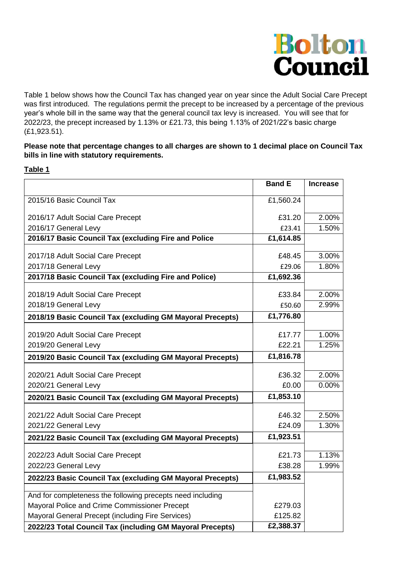

Table 1 below shows how the Council Tax has changed year on year since the Adult Social Care Precept was first introduced. The regulations permit the precept to be increased by a percentage of the previous year's whole bill in the same way that the general council tax levy is increased. You will see that for 2022/23, the precept increased by 1.13% or £21.73, this being 1.13% of 2021/22's basic charge (£1,923.51).

#### **Please note that percentage changes to all charges are shown to 1 decimal place on Council Tax bills in line with statutory requirements.**

#### **Table 1**

|                                                            | <b>Band E</b> | <b>Increase</b> |
|------------------------------------------------------------|---------------|-----------------|
| 2015/16 Basic Council Tax                                  | £1,560.24     |                 |
| 2016/17 Adult Social Care Precept                          | £31.20        | 2.00%           |
| 2016/17 General Levy                                       | £23.41        | 1.50%           |
| 2016/17 Basic Council Tax (excluding Fire and Police       | £1,614.85     |                 |
| 2017/18 Adult Social Care Precept                          | £48.45        | 3.00%           |
| 2017/18 General Levy                                       | £29.06        | 1.80%           |
| 2017/18 Basic Council Tax (excluding Fire and Police)      | £1,692.36     |                 |
| 2018/19 Adult Social Care Precept                          | £33.84        | 2.00%           |
| 2018/19 General Levy                                       | £50.60        | 2.99%           |
| 2018/19 Basic Council Tax (excluding GM Mayoral Precepts)  | £1,776.80     |                 |
|                                                            |               |                 |
| 2019/20 Adult Social Care Precept                          | £17.77        | 1.00%           |
| 2019/20 General Levy                                       | £22.21        | 1.25%           |
| 2019/20 Basic Council Tax (excluding GM Mayoral Precepts)  | £1,816.78     |                 |
| 2020/21 Adult Social Care Precept                          | £36.32        | 2.00%           |
| 2020/21 General Levy                                       | £0.00         | 0.00%           |
| 2020/21 Basic Council Tax (excluding GM Mayoral Precepts)  | £1,853.10     |                 |
| 2021/22 Adult Social Care Precept                          | £46.32        | 2.50%           |
| 2021/22 General Levy                                       | £24.09        | 1.30%           |
| 2021/22 Basic Council Tax (excluding GM Mayoral Precepts)  | £1,923.51     |                 |
|                                                            |               |                 |
| 2022/23 Adult Social Care Precept                          | £21.73        | 1.13%           |
| 2022/23 General Levy                                       | £38.28        | 1.99%           |
| 2022/23 Basic Council Tax (excluding GM Mayoral Precepts)  | £1,983.52     |                 |
| And for completeness the following precepts need including |               |                 |
| Mayoral Police and Crime Commissioner Precept              | £279.03       |                 |
| Mayoral General Precept (including Fire Services)          | £125.82       |                 |
| 2022/23 Total Council Tax (including GM Mayoral Precepts)  | £2,388.37     |                 |